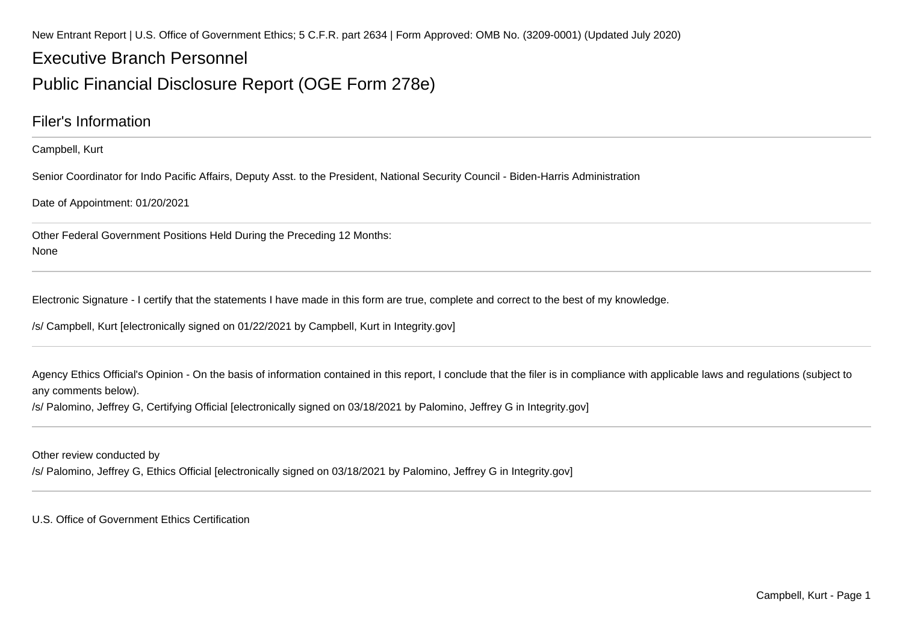New Entrant Report | U.S. Office of Government Ethics; 5 C.F.R. part 2634 | Form Approved: OMB No. (3209-0001) (Updated July 2020)

## Executive Branch Personnel

### Public Financial Disclosure Report (OGE Form 278e)

### Filer's Information

Campbell, Kurt

Senior Coordinator for Indo Pacific Affairs, Deputy Asst. to the President, National Security Council - Biden-Harris Administration

Date of Appointment: 01/20/2021

Other Federal Government Positions Held During the Preceding 12 Months:None

Electronic Signature - I certify that the statements I have made in this form are true, complete and correct to the best of my knowledge.

/s/ Campbell, Kurt [electronically signed on 01/22/2021 by Campbell, Kurt in Integrity.gov]

Agency Ethics Official's Opinion - On the basis of information contained in this report, I conclude that the filer is in compliance with applicable laws and regulations (subject to any comments below).

/s/ Palomino, Jeffrey G, Certifying Official [electronically signed on 03/18/2021 by Palomino, Jeffrey G in Integrity.gov]

Other review conducted by

/s/ Palomino, Jeffrey G, Ethics Official [electronically signed on 03/18/2021 by Palomino, Jeffrey G in Integrity.gov]

U.S. Office of Government Ethics Certification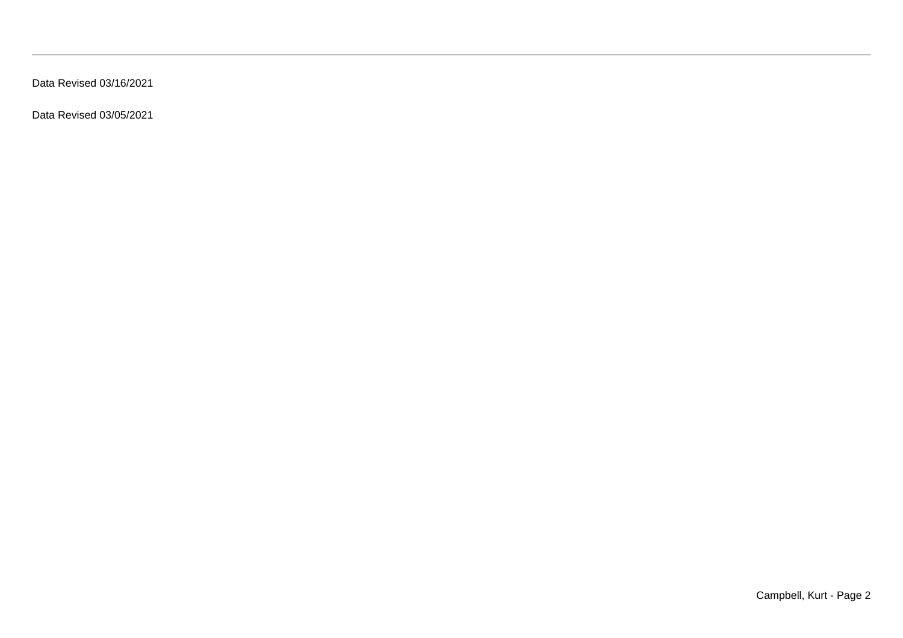Data Revised 03/16/2021

Data Revised 03/05/2021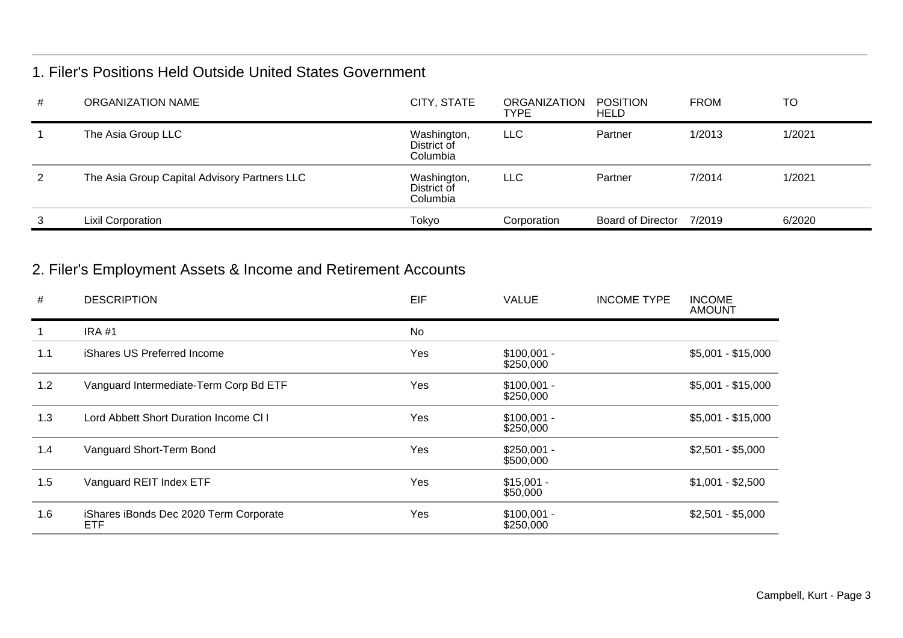### 1. Filer's Positions Held Outside United States Government

| # | ORGANIZATION NAME                            | CITY, STATE                            | ORGANIZATION<br><b>TYPE</b> | POSITION<br><b>HELD</b> | <b>FROM</b> | <b>TO</b> |
|---|----------------------------------------------|----------------------------------------|-----------------------------|-------------------------|-------------|-----------|
|   | The Asia Group LLC                           | Washington,<br>District of<br>Columbia | <b>LLC</b>                  | Partner                 | 1/2013      | 1/2021    |
| 2 | The Asia Group Capital Advisory Partners LLC | Washington,<br>District of<br>Columbia | <b>LLC</b>                  | Partner                 | 7/2014      | 1/2021    |
| 3 | <b>Lixil Corporation</b>                     | Tokyo                                  | Corporation                 | Board of Director       | 7/2019      | 6/2020    |

### 2. Filer's Employment Assets & Income and Retirement Accounts

| #   | <b>DESCRIPTION</b>                            | EIF       | <b>VALUE</b>              | <b>INCOME TYPE</b> | <b>INCOME</b><br>AMOUNT |
|-----|-----------------------------------------------|-----------|---------------------------|--------------------|-------------------------|
|     | <b>IRA #1</b>                                 | <b>No</b> |                           |                    |                         |
| 1.1 | iShares US Preferred Income                   | Yes       | $$100,001 -$<br>\$250,000 |                    | $$5,001 - $15,000$      |
| 1.2 | Vanguard Intermediate-Term Corp Bd ETF        | Yes       | $$100,001 -$<br>\$250,000 |                    | $$5,001 - $15,000$      |
| 1.3 | Lord Abbett Short Duration Income CI I        | Yes       | $$100,001 -$<br>\$250,000 |                    | $$5,001 - $15,000$      |
| 1.4 | Vanguard Short-Term Bond                      | Yes       | $$250,001 -$<br>\$500,000 |                    | $$2,501 - $5,000$       |
| 1.5 | Vanguard REIT Index ETF                       | Yes       | $$15,001 -$<br>\$50,000   |                    | $$1,001 - $2,500$       |
| 1.6 | iShares iBonds Dec 2020 Term Corporate<br>ETF | Yes       | $$100,001 -$<br>\$250,000 |                    | $$2,501 - $5,000$       |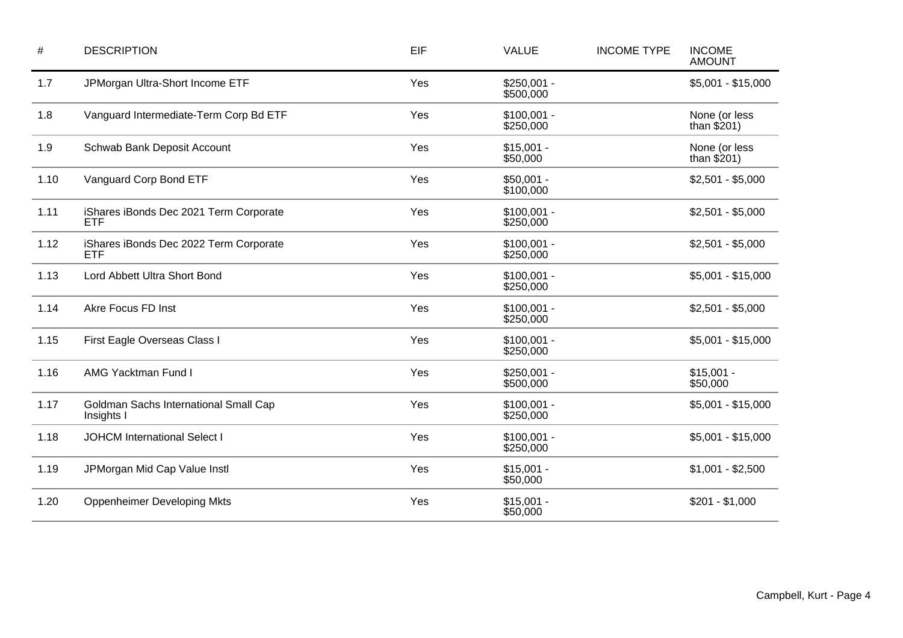| $\#$ | <b>DESCRIPTION</b>                                   | EIF | <b>VALUE</b>              | <b>INCOME TYPE</b> | <b>INCOME</b><br><b>AMOUNT</b> |
|------|------------------------------------------------------|-----|---------------------------|--------------------|--------------------------------|
| 1.7  | JPMorgan Ultra-Short Income ETF                      | Yes | $$250,001 -$<br>\$500,000 |                    | $$5,001 - $15,000$             |
| 1.8  | Vanguard Intermediate-Term Corp Bd ETF               | Yes | $$100,001 -$<br>\$250,000 |                    | None (or less<br>than $$201)$  |
| 1.9  | Schwab Bank Deposit Account                          | Yes | $$15,001 -$<br>\$50,000   |                    | None (or less<br>than $$201)$  |
| 1.10 | Vanguard Corp Bond ETF                               | Yes | $$50,001 -$<br>\$100,000  |                    | $$2,501 - $5,000$              |
| 1.11 | iShares iBonds Dec 2021 Term Corporate<br><b>ETF</b> | Yes | $$100,001 -$<br>\$250,000 |                    | $$2,501 - $5,000$              |
| 1.12 | iShares iBonds Dec 2022 Term Corporate<br><b>ETF</b> | Yes | $$100,001 -$<br>\$250,000 |                    | $$2,501 - $5,000$              |
| 1.13 | Lord Abbett Ultra Short Bond                         | Yes | $$100,001 -$<br>\$250,000 |                    | $$5,001 - $15,000$             |
| 1.14 | Akre Focus FD Inst                                   | Yes | $$100,001 -$<br>\$250,000 |                    | $$2,501 - $5,000$              |
| 1.15 | First Eagle Overseas Class I                         | Yes | $$100,001 -$<br>\$250,000 |                    | $$5,001 - $15,000$             |
| 1.16 | <b>AMG Yacktman Fund I</b>                           | Yes | $$250,001 -$<br>\$500,000 |                    | $$15,001 -$<br>\$50,000        |
| 1.17 | Goldman Sachs International Small Cap<br>Insights I  | Yes | $$100,001 -$<br>\$250,000 |                    | $$5,001 - $15,000$             |
| 1.18 | <b>JOHCM International Select I</b>                  | Yes | $$100,001 -$<br>\$250,000 |                    | $$5,001 - $15,000$             |
| 1.19 | JPMorgan Mid Cap Value Instl                         | Yes | $$15,001 -$<br>\$50,000   |                    | $$1,001 - $2,500$              |
| 1.20 | <b>Oppenheimer Developing Mkts</b>                   | Yes | $$15,001 -$<br>\$50,000   |                    | $$201 - $1,000$                |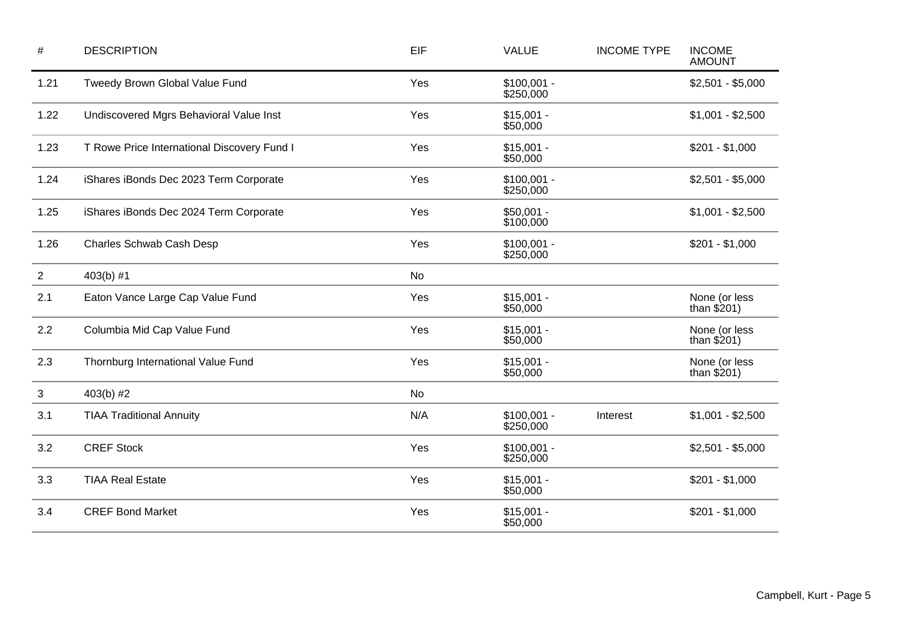| $\#$           | <b>DESCRIPTION</b>                          | EIF | <b>VALUE</b>              | <b>INCOME TYPE</b> | <b>INCOME</b><br><b>AMOUNT</b> |
|----------------|---------------------------------------------|-----|---------------------------|--------------------|--------------------------------|
| 1.21           | Tweedy Brown Global Value Fund              | Yes | $$100,001 -$<br>\$250,000 |                    | $$2,501 - $5,000$              |
| 1.22           | Undiscovered Mgrs Behavioral Value Inst     | Yes | $$15,001 -$<br>\$50,000   |                    | $$1,001 - $2,500$              |
| 1.23           | T Rowe Price International Discovery Fund I | Yes | $$15,001 -$<br>\$50,000   |                    | $$201 - $1,000$                |
| 1.24           | iShares iBonds Dec 2023 Term Corporate      | Yes | $$100,001 -$<br>\$250,000 |                    | $$2,501 - $5,000$              |
| 1.25           | iShares iBonds Dec 2024 Term Corporate      | Yes | $$50,001 -$<br>\$100,000  |                    | $$1,001 - $2,500$              |
| 1.26           | Charles Schwab Cash Desp                    | Yes | $$100,001 -$<br>\$250,000 |                    | $$201 - $1,000$                |
| $\overline{2}$ | $403(b)$ #1                                 | No  |                           |                    |                                |
| 2.1            | Eaton Vance Large Cap Value Fund            | Yes | $$15,001 -$<br>\$50,000   |                    | None (or less<br>than $$201)$  |
| 2.2            | Columbia Mid Cap Value Fund                 | Yes | $$15,001 -$<br>\$50,000   |                    | None (or less<br>than $$201)$  |
| 2.3            | Thornburg International Value Fund          | Yes | $$15,001 -$<br>\$50,000   |                    | None (or less<br>than $$201)$  |
| 3              | 403(b) #2                                   | No  |                           |                    |                                |
| 3.1            | <b>TIAA Traditional Annuity</b>             | N/A | $$100,001 -$<br>\$250,000 | Interest           | $$1,001 - $2,500$              |
| 3.2            | <b>CREF Stock</b>                           | Yes | $$100,001 -$<br>\$250,000 |                    | $$2,501 - $5,000$              |
| 3.3            | <b>TIAA Real Estate</b>                     | Yes | $$15,001 -$<br>\$50,000   |                    | $$201 - $1,000$                |
| 3.4            | <b>CREF Bond Market</b>                     | Yes | $$15,001 -$<br>\$50,000   |                    | $$201 - $1,000$                |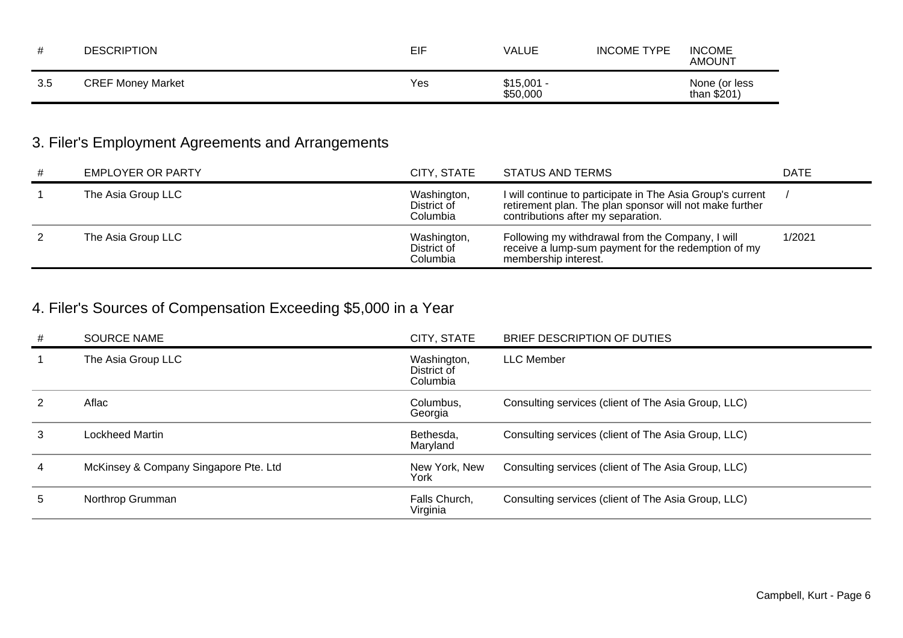|     | <b>DESCRIPTION</b>       | EIF | VALUE                   | <b>INCOME TYPE</b> | <b>INCOME</b><br><b>AMOUNT</b> |
|-----|--------------------------|-----|-------------------------|--------------------|--------------------------------|
| 3.5 | <b>CREF Money Market</b> | Yes | $$15,001 -$<br>\$50,000 |                    | None (or less<br>than $$201$   |

# 3. Filer's Employment Agreements and Arrangements

| # | <b>EMPLOYER OR PARTY</b> | CITY, STATE                            | STATUS AND TERMS                                                                                                                                            | <b>DATE</b> |
|---|--------------------------|----------------------------------------|-------------------------------------------------------------------------------------------------------------------------------------------------------------|-------------|
|   | The Asia Group LLC       | Washington,<br>District of<br>Columbia | I will continue to participate in The Asia Group's current<br>retirement plan. The plan sponsor will not make further<br>contributions after my separation. |             |
|   | The Asia Group LLC       | Washington,<br>District of<br>Columbia | Following my withdrawal from the Company, I will<br>receive a lump-sum payment for the redemption of my<br>membership interest.                             | 1/2021      |

# 4. Filer's Sources of Compensation Exceeding \$5,000 in a Year

| #  | <b>SOURCE NAME</b>                    | CITY, STATE                            | BRIEF DESCRIPTION OF DUTIES                         |
|----|---------------------------------------|----------------------------------------|-----------------------------------------------------|
|    | The Asia Group LLC                    | Washington,<br>District of<br>Columbia | <b>LLC Member</b>                                   |
|    | Aflac                                 | Columbus,<br>Georgia                   | Consulting services (client of The Asia Group, LLC) |
| 3  | Lockheed Martin                       | Bethesda,<br>Maryland                  | Consulting services (client of The Asia Group, LLC) |
| 4  | McKinsey & Company Singapore Pte. Ltd | New York, New<br>York                  | Consulting services (client of The Asia Group, LLC) |
| 5. | Northrop Grumman                      | Falls Church,<br>Virginia              | Consulting services (client of The Asia Group, LLC) |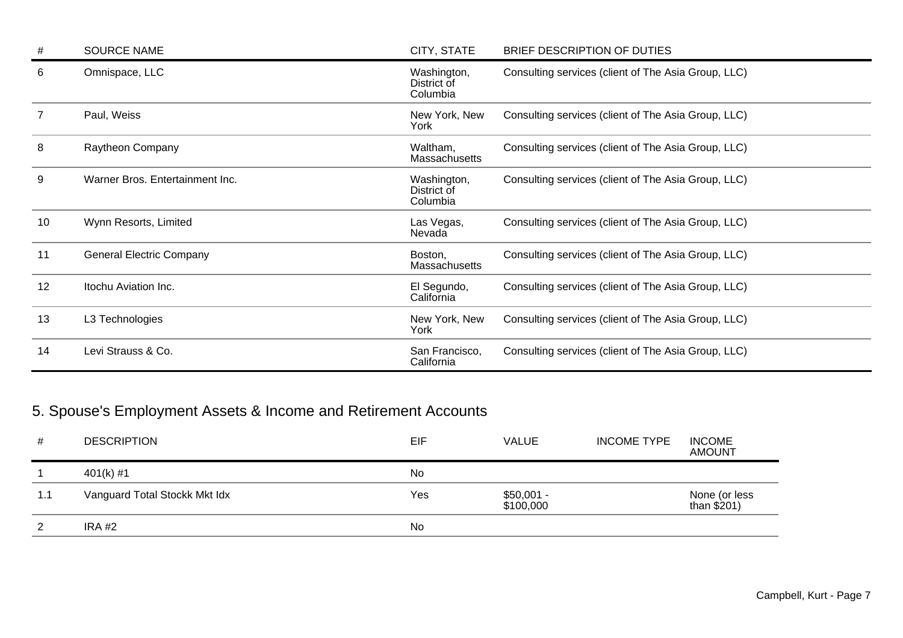| #  | <b>SOURCE NAME</b>              | CITY, STATE                            | BRIEF DESCRIPTION OF DUTIES                         |
|----|---------------------------------|----------------------------------------|-----------------------------------------------------|
| 6  | Omnispace, LLC                  | Washington,<br>District of<br>Columbia | Consulting services (client of The Asia Group, LLC) |
|    | Paul, Weiss                     | New York, New<br>York                  | Consulting services (client of The Asia Group, LLC) |
| 8  | Raytheon Company                | Waltham,<br><b>Massachusetts</b>       | Consulting services (client of The Asia Group, LLC) |
| 9  | Warner Bros. Entertainment Inc. | Washington,<br>District of<br>Columbia | Consulting services (client of The Asia Group, LLC) |
| 10 | Wynn Resorts, Limited           | Las Vegas,<br>Nevada                   | Consulting services (client of The Asia Group, LLC) |
| 11 | <b>General Electric Company</b> | Boston,<br>Massachusetts               | Consulting services (client of The Asia Group, LLC) |
| 12 | Itochu Aviation Inc.            | El Segundo,<br>California              | Consulting services (client of The Asia Group, LLC) |
| 13 | L3 Technologies                 | New York, New<br>York                  | Consulting services (client of The Asia Group, LLC) |
| 14 | Levi Strauss & Co.              | San Francisco,<br>California           | Consulting services (client of The Asia Group, LLC) |

# 5. Spouse's Employment Assets & Income and Retirement Accounts

| #   | <b>DESCRIPTION</b>            | EIF | VALUE                    | <b>INCOME TYPE</b> | <b>INCOME</b><br><b>AMOUNT</b> |
|-----|-------------------------------|-----|--------------------------|--------------------|--------------------------------|
|     | 401(k) #1                     | No  |                          |                    |                                |
| 1.1 | Vanguard Total Stockk Mkt Idx | Yes | $$50,001 -$<br>\$100,000 |                    | None (or less<br>than $$201)$  |
| 2   | IRA #2                        | No  |                          |                    |                                |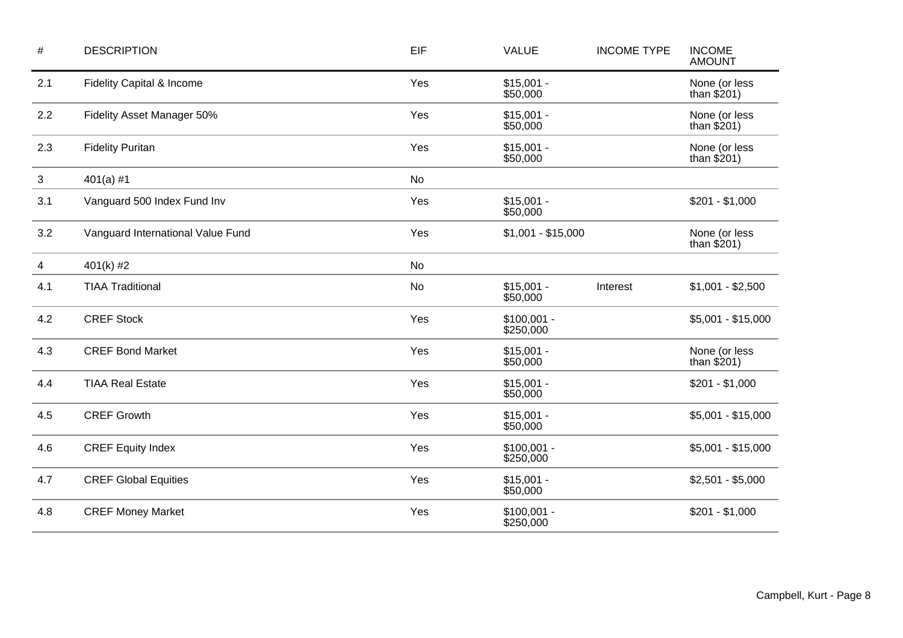| $\#$         | <b>DESCRIPTION</b>                | EIF | <b>VALUE</b>              | <b>INCOME TYPE</b> | <b>INCOME</b><br><b>AMOUNT</b> |
|--------------|-----------------------------------|-----|---------------------------|--------------------|--------------------------------|
| 2.1          | Fidelity Capital & Income         | Yes | $$15,001 -$<br>\$50,000   |                    | None (or less<br>than $$201)$  |
| 2.2          | Fidelity Asset Manager 50%        | Yes | $$15,001 -$<br>\$50,000   |                    | None (or less<br>than $$201)$  |
| 2.3          | <b>Fidelity Puritan</b>           | Yes | $$15,001 -$<br>\$50,000   |                    | None (or less<br>than $$201)$  |
| $\mathbf{3}$ | $401(a)$ #1                       | No  |                           |                    |                                |
| 3.1          | Vanguard 500 Index Fund Inv       | Yes | $$15,001 -$<br>\$50,000   |                    | $$201 - $1,000$                |
| 3.2          | Vanguard International Value Fund | Yes | $$1,001 - $15,000$        |                    | None (or less<br>than $$201)$  |
| 4            | 401(k) #2                         | No  |                           |                    |                                |
| 4.1          | <b>TIAA Traditional</b>           | No  | $$15,001 -$<br>\$50,000   | Interest           | $$1,001 - $2,500$              |
| 4.2          | <b>CREF Stock</b>                 | Yes | $$100,001 -$<br>\$250,000 |                    | $$5,001 - $15,000$             |
| 4.3          | <b>CREF Bond Market</b>           | Yes | $$15,001 -$<br>\$50,000   |                    | None (or less<br>than $$201)$  |
| 4.4          | <b>TIAA Real Estate</b>           | Yes | $$15,001 -$<br>\$50,000   |                    | $$201 - $1,000$                |
| 4.5          | <b>CREF Growth</b>                | Yes | $$15,001 -$<br>\$50,000   |                    | $$5,001 - $15,000$             |
| 4.6          | <b>CREF Equity Index</b>          | Yes | $$100,001 -$<br>\$250,000 |                    | $$5,001 - $15,000$             |
| 4.7          | <b>CREF Global Equities</b>       | Yes | $$15,001 -$<br>\$50,000   |                    | $$2,501 - $5,000$              |
| 4.8          | <b>CREF Money Market</b>          | Yes | $$100,001 -$<br>\$250,000 |                    | $$201 - $1,000$                |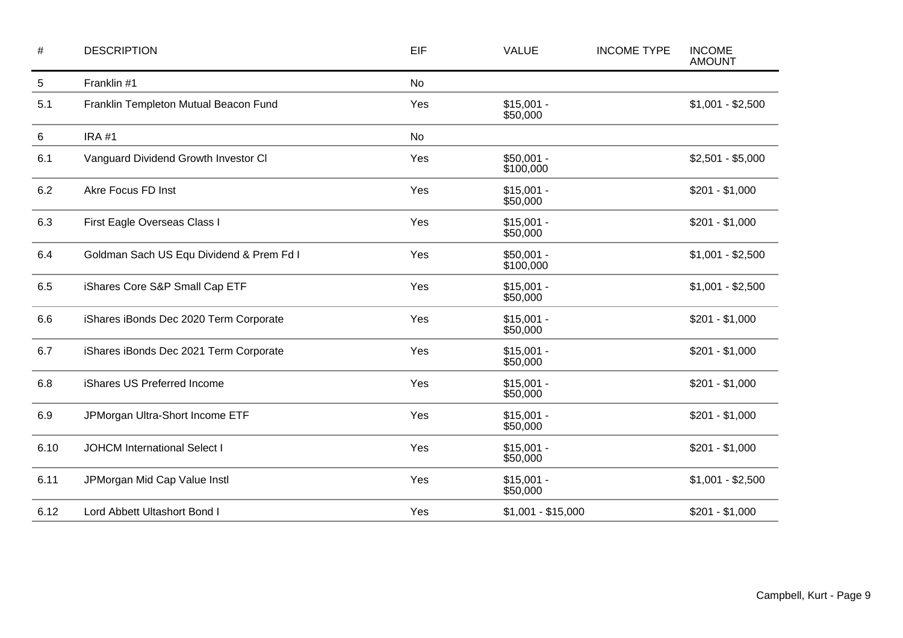| $\#$       | <b>DESCRIPTION</b>                       | EIF       | <b>VALUE</b>             | <b>INCOME TYPE</b> | <b>INCOME</b><br><b>AMOUNT</b> |
|------------|------------------------------------------|-----------|--------------------------|--------------------|--------------------------------|
| $\sqrt{5}$ | Franklin #1                              | <b>No</b> |                          |                    |                                |
| 5.1        | Franklin Templeton Mutual Beacon Fund    | Yes       | $$15,001 -$<br>\$50,000  |                    | $$1,001 - $2,500$              |
| 6          | <b>IRA #1</b>                            | <b>No</b> |                          |                    |                                |
| 6.1        | Vanguard Dividend Growth Investor CI     | Yes       | \$50,001 -<br>\$100,000  |                    | $$2,501 - $5,000$              |
| 6.2        | Akre Focus FD Inst                       | Yes       | $$15,001 -$<br>\$50,000  |                    | $$201 - $1,000$                |
| 6.3        | First Eagle Overseas Class I             | Yes       | $$15,001 -$<br>\$50,000  |                    | $$201 - $1,000$                |
| 6.4        | Goldman Sach US Equ Dividend & Prem Fd I | Yes       | $$50,001 -$<br>\$100,000 |                    | $$1,001 - $2,500$              |
| 6.5        | iShares Core S&P Small Cap ETF           | Yes       | $$15,001 -$<br>\$50,000  |                    | $$1,001 - $2,500$              |
| 6.6        | iShares iBonds Dec 2020 Term Corporate   | Yes       | $$15,001 -$<br>\$50,000  |                    | $$201 - $1,000$                |
| 6.7        | iShares iBonds Dec 2021 Term Corporate   | Yes       | $$15,001 -$<br>\$50,000  |                    | $$201 - $1,000$                |
| 6.8        | iShares US Preferred Income              | Yes       | $$15,001 -$<br>\$50,000  |                    | $$201 - $1,000$                |
| 6.9        | JPMorgan Ultra-Short Income ETF          | Yes       | $$15,001 -$<br>\$50,000  |                    | $$201 - $1,000$                |
| 6.10       | <b>JOHCM International Select I</b>      | Yes       | $$15,001 -$<br>\$50,000  |                    | $$201 - $1,000$                |
| 6.11       | JPMorgan Mid Cap Value Instl             | Yes       | $$15,001 -$<br>\$50,000  |                    | $$1,001 - $2,500$              |
| 6.12       | Lord Abbett Ultashort Bond I             | Yes       | $$1,001 - $15,000$       |                    | $$201 - $1,000$                |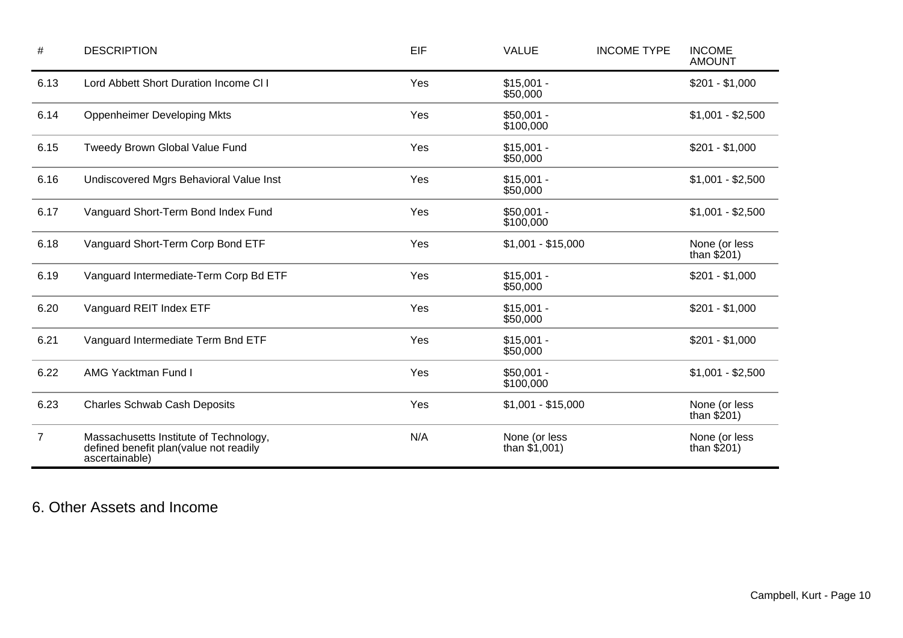| $\#$           | <b>DESCRIPTION</b>                                                                                 | EIF | <b>VALUE</b>                     | <b>INCOME TYPE</b> | <b>INCOME</b><br><b>AMOUNT</b> |
|----------------|----------------------------------------------------------------------------------------------------|-----|----------------------------------|--------------------|--------------------------------|
| 6.13           | Lord Abbett Short Duration Income CI I                                                             | Yes | $$15,001 -$<br>\$50,000          |                    | $$201 - $1,000$                |
| 6.14           | <b>Oppenheimer Developing Mkts</b>                                                                 | Yes | $$50,001 -$<br>\$100,000         |                    | $$1,001 - $2,500$              |
| 6.15           | Tweedy Brown Global Value Fund                                                                     | Yes | $$15,001 -$<br>\$50,000          |                    | $$201 - $1,000$                |
| 6.16           | Undiscovered Mgrs Behavioral Value Inst                                                            | Yes | $$15,001 -$<br>\$50,000          |                    | $$1,001 - $2,500$              |
| 6.17           | Vanguard Short-Term Bond Index Fund                                                                | Yes | $$50,001 -$<br>\$100,000         |                    | $$1,001 - $2,500$              |
| 6.18           | Vanguard Short-Term Corp Bond ETF                                                                  | Yes | $$1,001 - $15,000$               |                    | None (or less<br>than $$201)$  |
| 6.19           | Vanguard Intermediate-Term Corp Bd ETF                                                             | Yes | $$15,001 -$<br>\$50,000          |                    | $$201 - $1,000$                |
| 6.20           | Vanguard REIT Index ETF                                                                            | Yes | $$15,001 -$<br>\$50,000          |                    | $$201 - $1,000$                |
| 6.21           | Vanguard Intermediate Term Bnd ETF                                                                 | Yes | $$15,001 -$<br>\$50,000          |                    | $$201 - $1,000$                |
| 6.22           | <b>AMG Yacktman Fund I</b>                                                                         | Yes | $$50,001 -$<br>\$100,000         |                    | $$1,001 - $2,500$              |
| 6.23           | <b>Charles Schwab Cash Deposits</b>                                                                | Yes | $$1,001 - $15,000$               |                    | None (or less<br>than $$201)$  |
| $\overline{7}$ | Massachusetts Institute of Technology,<br>defined benefit plan(value not readily<br>ascertainable) | N/A | None (or less<br>than $$1,001$ ) |                    | None (or less<br>than $$201)$  |

### 6. Other Assets and Income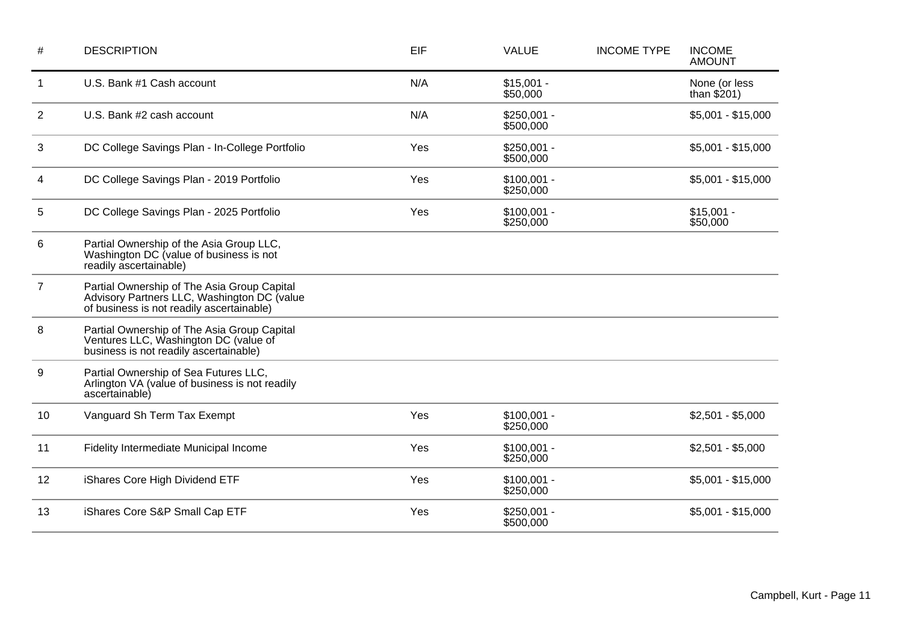| #              | <b>DESCRIPTION</b>                                                                                                                      | EIF | <b>VALUE</b>              | <b>INCOME TYPE</b> | <b>INCOME</b><br><b>AMOUNT</b> |
|----------------|-----------------------------------------------------------------------------------------------------------------------------------------|-----|---------------------------|--------------------|--------------------------------|
| $\mathbf{1}$   | U.S. Bank #1 Cash account                                                                                                               | N/A | $$15,001 -$<br>\$50,000   |                    | None (or less<br>than $$201)$  |
| $\overline{2}$ | U.S. Bank #2 cash account                                                                                                               | N/A | $$250,001 -$<br>\$500,000 |                    | $$5,001 - $15,000$             |
| 3              | DC College Savings Plan - In-College Portfolio                                                                                          | Yes | $$250,001 -$<br>\$500,000 |                    | $$5,001 - $15,000$             |
| 4              | DC College Savings Plan - 2019 Portfolio                                                                                                | Yes | $$100,001 -$<br>\$250,000 |                    | $$5,001 - $15,000$             |
| 5              | DC College Savings Plan - 2025 Portfolio                                                                                                | Yes | $$100,001 -$<br>\$250,000 |                    | $$15,001 -$<br>\$50,000        |
| 6              | Partial Ownership of the Asia Group LLC,<br>Washington DC (value of business is not<br>readily ascertainable)                           |     |                           |                    |                                |
| $\overline{7}$ | Partial Ownership of The Asia Group Capital<br>Advisory Partners LLC, Washington DC (value<br>of business is not readily ascertainable) |     |                           |                    |                                |
| 8              | Partial Ownership of The Asia Group Capital<br>Ventures LLC, Washington DC (value of<br>business is not readily ascertainable)          |     |                           |                    |                                |
| 9              | Partial Ownership of Sea Futures LLC,<br>Arlington VA (value of business is not readily<br>ascertainable)                               |     |                           |                    |                                |
| 10             | Vanguard Sh Term Tax Exempt                                                                                                             | Yes | $$100,001 -$<br>\$250,000 |                    | $$2,501 - $5,000$              |
| 11             | Fidelity Intermediate Municipal Income                                                                                                  | Yes | $$100,001 -$<br>\$250,000 |                    | $$2,501 - $5,000$              |
| 12             | iShares Core High Dividend ETF                                                                                                          | Yes | $$100,001 -$<br>\$250,000 |                    | $$5,001 - $15,000$             |
| 13             | iShares Core S&P Small Cap ETF                                                                                                          | Yes | $$250,001 -$<br>\$500,000 |                    | $$5,001 - $15,000$             |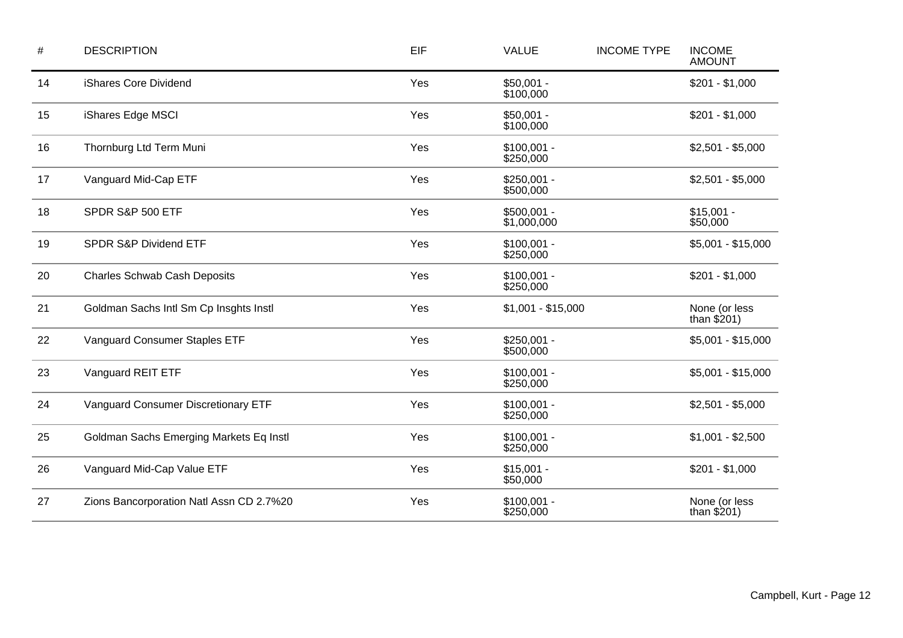| $\#$ | <b>DESCRIPTION</b>                       | EIF | <b>VALUE</b>                | <b>INCOME TYPE</b> | <b>INCOME</b><br><b>AMOUNT</b> |
|------|------------------------------------------|-----|-----------------------------|--------------------|--------------------------------|
| 14   | iShares Core Dividend                    | Yes | $$50,001 -$<br>\$100,000    |                    | $$201 - $1,000$                |
| 15   | iShares Edge MSCI                        | Yes | $$50,001 -$<br>\$100,000    |                    | $$201 - $1,000$                |
| 16   | Thornburg Ltd Term Muni                  | Yes | $$100,001 -$<br>\$250,000   |                    | $$2,501 - $5,000$              |
| 17   | Vanguard Mid-Cap ETF                     | Yes | $$250,001 -$<br>\$500,000   |                    | $$2,501 - $5,000$              |
| 18   | SPDR S&P 500 ETF                         | Yes | $$500,001 -$<br>\$1,000,000 |                    | $$15,001 -$<br>\$50,000        |
| 19   | SPDR S&P Dividend ETF                    | Yes | $$100,001 -$<br>\$250,000   |                    | $$5,001 - $15,000$             |
| 20   | <b>Charles Schwab Cash Deposits</b>      | Yes | $$100,001 -$<br>\$250,000   |                    | $$201 - $1,000$                |
| 21   | Goldman Sachs Intl Sm Cp Insghts Instl   | Yes | $$1,001 - $15,000$          |                    | None (or less<br>than $$201)$  |
| 22   | Vanguard Consumer Staples ETF            | Yes | $$250,001 -$<br>\$500,000   |                    | $$5,001 - $15,000$             |
| 23   | Vanguard REIT ETF                        | Yes | $$100,001 -$<br>\$250,000   |                    | $$5,001 - $15,000$             |
| 24   | Vanguard Consumer Discretionary ETF      | Yes | $$100,001 -$<br>\$250,000   |                    | $$2,501 - $5,000$              |
| 25   | Goldman Sachs Emerging Markets Eq Instl  | Yes | $$100,001 -$<br>\$250,000   |                    | $$1,001 - $2,500$              |
| 26   | Vanguard Mid-Cap Value ETF               | Yes | $$15,001 -$<br>\$50,000     |                    | $$201 - $1,000$                |
| 27   | Zions Bancorporation Natl Assn CD 2.7%20 | Yes | $$100,001 -$<br>\$250,000   |                    | None (or less<br>than $$201)$  |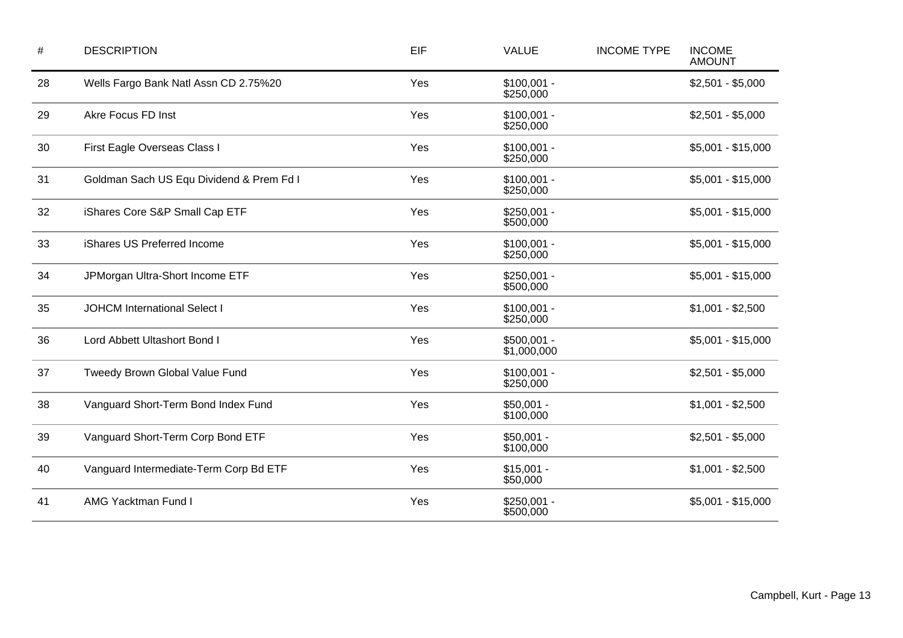| $\#$ | <b>DESCRIPTION</b>                       | EIF | <b>VALUE</b>                | <b>INCOME TYPE</b> | <b>INCOME</b><br><b>AMOUNT</b> |
|------|------------------------------------------|-----|-----------------------------|--------------------|--------------------------------|
| 28   | Wells Fargo Bank Natl Assn CD 2.75%20    | Yes | $$100,001 -$<br>\$250,000   |                    | $$2,501 - $5,000$              |
| 29   | Akre Focus FD Inst                       | Yes | $$100,001 -$<br>\$250,000   |                    | $$2,501 - $5,000$              |
| 30   | First Eagle Overseas Class I             | Yes | $$100,001 -$<br>\$250,000   |                    | $$5,001 - $15,000$             |
| 31   | Goldman Sach US Equ Dividend & Prem Fd I | Yes | $$100,001 -$<br>\$250,000   |                    | $$5,001 - $15,000$             |
| 32   | iShares Core S&P Small Cap ETF           | Yes | $$250,001 -$<br>\$500,000   |                    | $$5,001 - $15,000$             |
| 33   | iShares US Preferred Income              | Yes | $$100,001 -$<br>\$250,000   |                    | $$5,001 - $15,000$             |
| 34   | JPMorgan Ultra-Short Income ETF          | Yes | $$250,001 -$<br>\$500,000   |                    | $$5,001 - $15,000$             |
| 35   | <b>JOHCM International Select I</b>      | Yes | $$100,001 -$<br>\$250,000   |                    | $$1,001 - $2,500$              |
| 36   | Lord Abbett Ultashort Bond I             | Yes | $$500,001 -$<br>\$1,000,000 |                    | $$5,001 - $15,000$             |
| 37   | Tweedy Brown Global Value Fund           | Yes | $$100,001 -$<br>\$250,000   |                    | $$2,501 - $5,000$              |
| 38   | Vanguard Short-Term Bond Index Fund      | Yes | $$50,001 -$<br>\$100,000    |                    | $$1,001 - $2,500$              |
| 39   | Vanguard Short-Term Corp Bond ETF        | Yes | $$50,001 -$<br>\$100,000    |                    | $$2,501 - $5,000$              |
| 40   | Vanguard Intermediate-Term Corp Bd ETF   | Yes | $$15,001 -$<br>\$50,000     |                    | $$1,001 - $2,500$              |
| 41   | <b>AMG Yacktman Fund I</b>               | Yes | $$250,001 -$<br>\$500,000   |                    | $$5,001 - $15,000$             |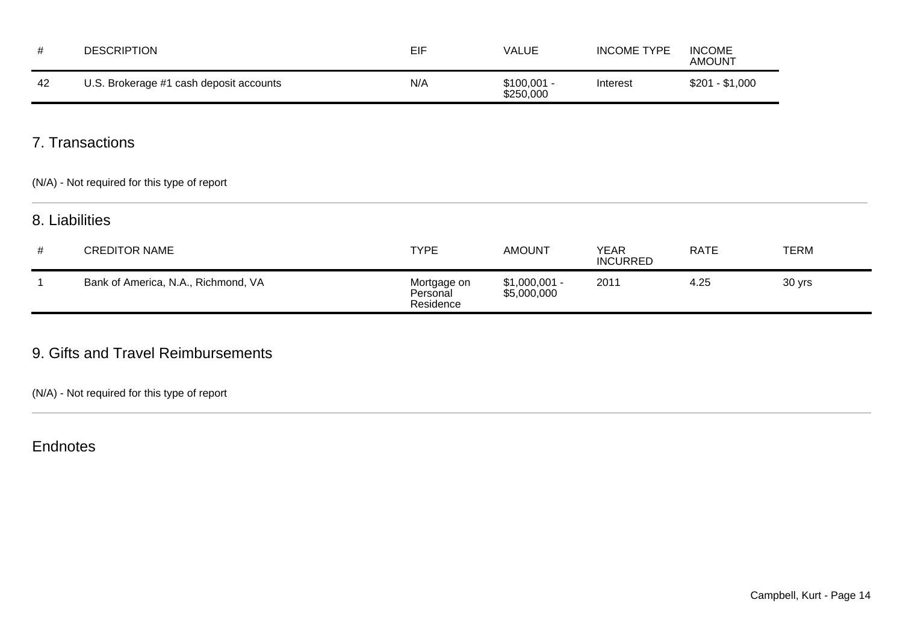| #  | <b>DESCRIPTION</b>                                              | EIF                                  | <b>VALUE</b>                  | <b>INCOME TYPE</b>             | <b>INCOME</b><br><b>AMOUNT</b> |             |
|----|-----------------------------------------------------------------|--------------------------------------|-------------------------------|--------------------------------|--------------------------------|-------------|
| 42 | U.S. Brokerage #1 cash deposit accounts                         | N/A                                  | $$100,001 -$<br>\$250,000     | Interest                       | $$201 - $1,000$                |             |
|    | 7. Transactions<br>(N/A) - Not required for this type of report |                                      |                               |                                |                                |             |
|    | 8. Liabilities                                                  |                                      |                               |                                |                                |             |
| #  | <b>CREDITOR NAME</b>                                            | <b>TYPE</b>                          | <b>AMOUNT</b>                 | <b>YEAR</b><br><b>INCURRED</b> | <b>RATE</b>                    | <b>TERM</b> |
|    | Bank of America, N.A., Richmond, VA                             | Mortgage on<br>Personal<br>Residence | $$1,000,001 -$<br>\$5,000,000 | 2011                           | 4.25                           | 30 yrs      |

### 9. Gifts and Travel Reimbursements

(N/A) - Not required for this type of report

Endnotes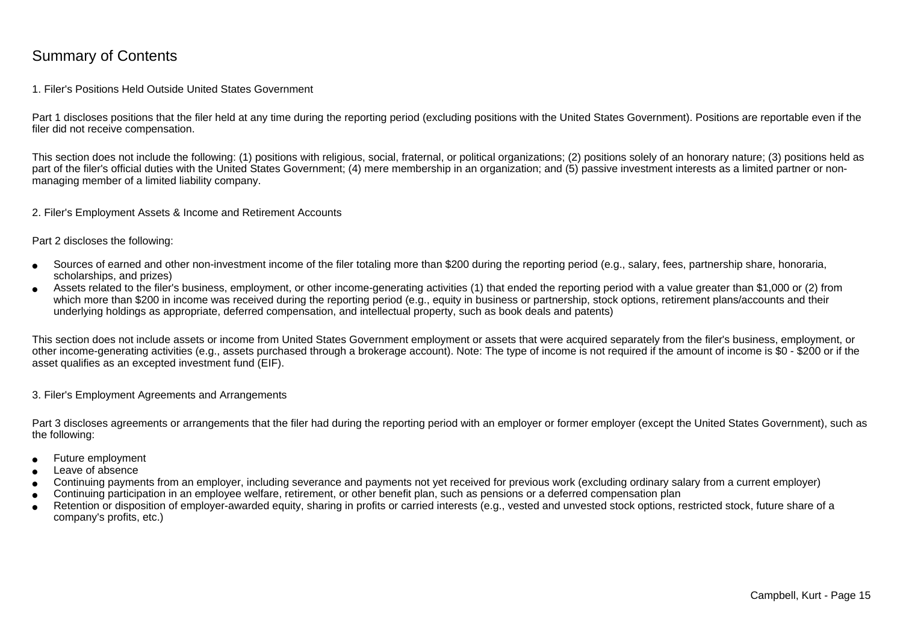### Summary of Contents

#### 1. Filer's Positions Held Outside United States Government

Part 1 discloses positions that the filer held at any time during the reporting period (excluding positions with the United States Government). Positions are reportable even if the filer did not receive compensation.

This section does not include the following: (1) positions with religious, social, fraternal, or political organizations; (2) positions solely of an honorary nature; (3) positions held aspart of the filer's official duties with the United States Government; (4) mere membership in an organization; and (5) passive investment interests as a limited partner or nonmanaging member of a limited liability company.

2. Filer's Employment Assets & Income and Retirement Accounts

Part 2 discloses the following:

- ●Sources of earned and other non-investment income of the filer totaling more than \$200 during the reporting period (e.g., salary, fees, partnership share, honoraria,scholarships, and prizes)
- ● Assets related to the filer's business, employment, or other income-generating activities (1) that ended the reporting period with a value greater than \$1,000 or (2) fromwhich more than \$200 in income was received during the reporting period (e.g., equity in business or partnership, stock options, retirement plans/accounts and their underlying holdings as appropriate, deferred compensation, and intellectual property, such as book deals and patents)

This section does not include assets or income from United States Government employment or assets that were acquired separately from the filer's business, employment, or other income-generating activities (e.g., assets purchased through a brokerage account). Note: The type of income is not required if the amount of income is \$0 - \$200 or if theasset qualifies as an excepted investment fund (EIF).

3. Filer's Employment Agreements and Arrangements

Part 3 discloses agreements or arrangements that the filer had during the reporting period with an employer or former employer (except the United States Government), such as the following:

- ●Future employment
- ●Leave of absence
- ●Continuing payments from an employer, including severance and payments not yet received for previous work (excluding ordinary salary from a current employer)
- ●Continuing participation in an employee welfare, retirement, or other benefit plan, such as pensions or a deferred compensation plan
- ● Retention or disposition of employer-awarded equity, sharing in profits or carried interests (e.g., vested and unvested stock options, restricted stock, future share of acompany's profits, etc.)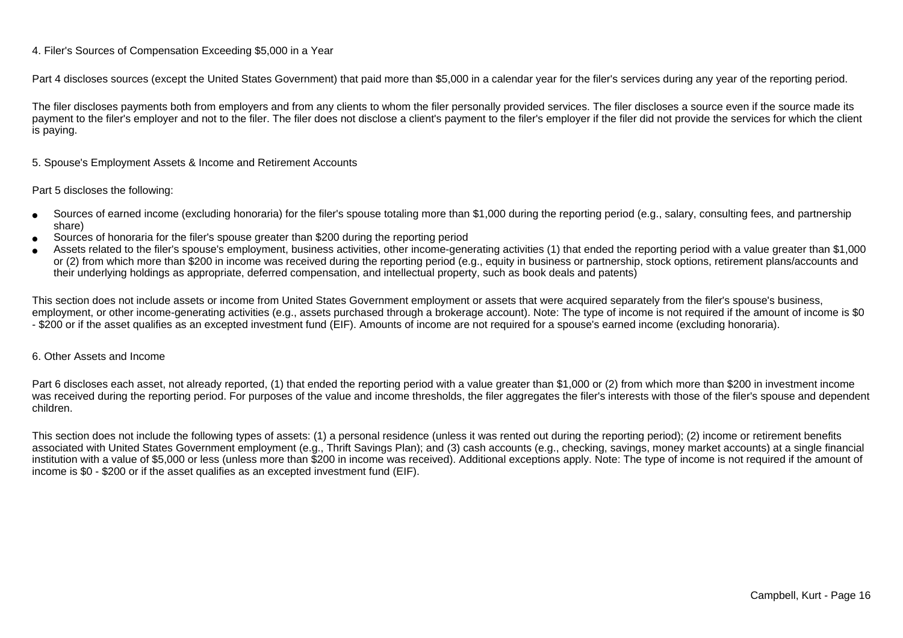#### 4. Filer's Sources of Compensation Exceeding \$5,000 in a Year

Part 4 discloses sources (except the United States Government) that paid more than \$5,000 in a calendar year for the filer's services during any year of the reporting period.

The filer discloses payments both from employers and from any clients to whom the filer personally provided services. The filer discloses a source even if the source made itspayment to the filer's employer and not to the filer. The filer does not disclose a client's payment to the filer's employer if the filer did not provide the services for which the client is paying.

5. Spouse's Employment Assets & Income and Retirement Accounts

#### Part 5 discloses the following:

- ●Sources of earned income (excluding honoraria) for the filer's spouse totaling more than \$1,000 during the reporting period (e.g., salary, consulting fees, and partnershipshare)
- ●Sources of honoraria for the filer's spouse greater than \$200 during the reporting period
- ● Assets related to the filer's spouse's employment, business activities, other income-generating activities (1) that ended the reporting period with a value greater than \$1,000or (2) from which more than \$200 in income was received during the reporting period (e.g., equity in business or partnership, stock options, retirement plans/accounts and their underlying holdings as appropriate, deferred compensation, and intellectual property, such as book deals and patents)

This section does not include assets or income from United States Government employment or assets that were acquired separately from the filer's spouse's business,employment, or other income-generating activities (e.g., assets purchased through a brokerage account). Note: The type of income is not required if the amount of income is \$0 - \$200 or if the asset qualifies as an excepted investment fund (EIF). Amounts of income are not required for a spouse's earned income (excluding honoraria).

#### 6. Other Assets and Income

Part 6 discloses each asset, not already reported, (1) that ended the reporting period with a value greater than \$1,000 or (2) from which more than \$200 in investment income was received during the reporting period. For purposes of the value and income thresholds, the filer aggregates the filer's interests with those of the filer's spouse and dependentchildren.

This section does not include the following types of assets: (1) a personal residence (unless it was rented out during the reporting period); (2) income or retirement benefits associated with United States Government employment (e.g., Thrift Savings Plan); and (3) cash accounts (e.g., checking, savings, money market accounts) at a single financial institution with a value of \$5,000 or less (unless more than \$200 in income was received). Additional exceptions apply. Note: The type of income is not required if the amount ofincome is \$0 - \$200 or if the asset qualifies as an excepted investment fund (EIF).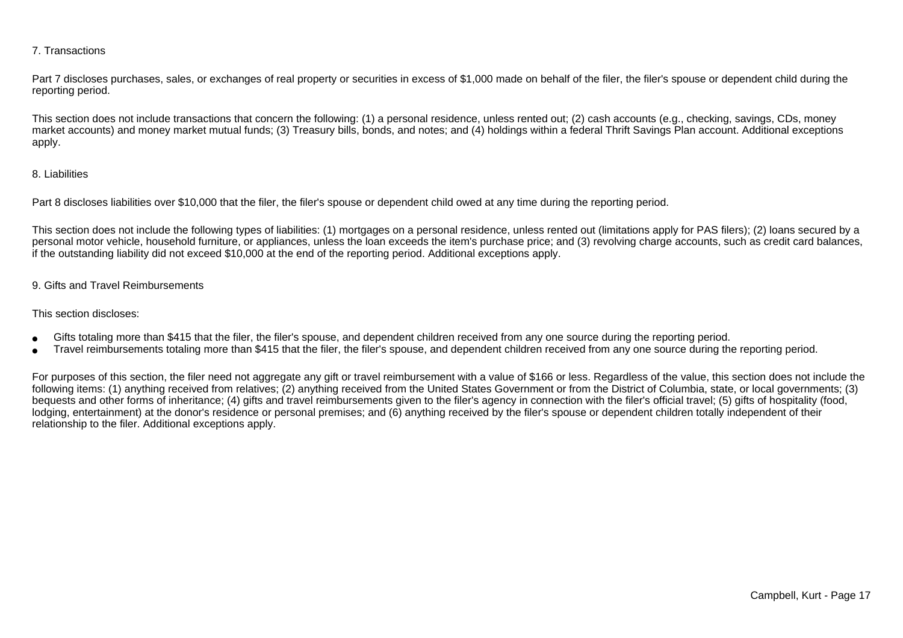#### 7. Transactions

Part 7 discloses purchases, sales, or exchanges of real property or securities in excess of \$1,000 made on behalf of the filer, the filer's spouse or dependent child during the reporting period.

This section does not include transactions that concern the following: (1) a personal residence, unless rented out; (2) cash accounts (e.g., checking, savings, CDs, money market accounts) and money market mutual funds; (3) Treasury bills, bonds, and notes; and (4) holdings within a federal Thrift Savings Plan account. Additional exceptionsapply.

#### 8. Liabilities

Part 8 discloses liabilities over \$10,000 that the filer, the filer's spouse or dependent child owed at any time during the reporting period.

This section does not include the following types of liabilities: (1) mortgages on a personal residence, unless rented out (limitations apply for PAS filers); (2) loans secured by a personal motor vehicle, household furniture, or appliances, unless the loan exceeds the item's purchase price; and (3) revolving charge accounts, such as credit card balances,if the outstanding liability did not exceed \$10,000 at the end of the reporting period. Additional exceptions apply.

#### 9. Gifts and Travel Reimbursements

#### This section discloses:

- ●Gifts totaling more than \$415 that the filer, the filer's spouse, and dependent children received from any one source during the reporting period.
- ●Travel reimbursements totaling more than \$415 that the filer, the filer's spouse, and dependent children received from any one source during the reporting period.

For purposes of this section, the filer need not aggregate any gift or travel reimbursement with a value of \$166 or less. Regardless of the value, this section does not include the following items: (1) anything received from relatives; (2) anything received from the United States Government or from the District of Columbia, state, or local governments; (3)bequests and other forms of inheritance; (4) gifts and travel reimbursements given to the filer's agency in connection with the filer's official travel; (5) gifts of hospitality (food,lodging, entertainment) at the donor's residence or personal premises; and (6) anything received by the filer's spouse or dependent children totally independent of theirrelationship to the filer. Additional exceptions apply.